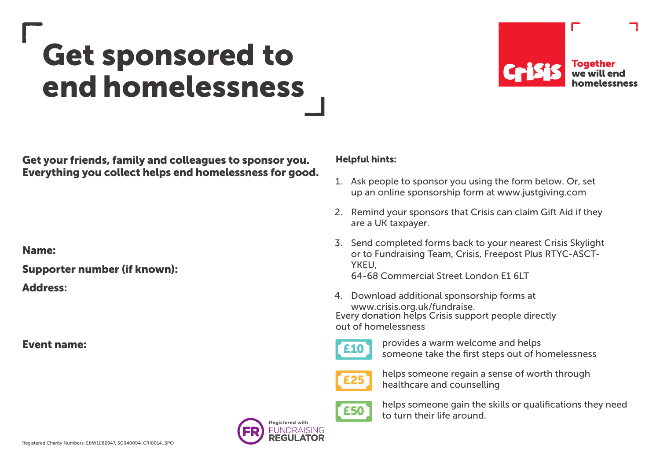## Get sponsored to end homelessness



Get your friends, family and colleagues to sponsor you. Everything you collect helps end homelessness for good.

Name:

Supporter number (if known):

Address:

Event name:

## Helpful hints:

- 1. Ask people to sponsor you using the form below. Or, set up an online sponsorship form at www.justgiving.com
- 2. Remind your sponsors that Crisis can claim Gift Aid if they are a UK taxpayer.
- 3. Send completed forms back to your nearest Crisis Skylight or to Fundraising Team, Crisis, Freepost Plus RTYC-ASCT-**YKEU** 64-68 Commercial Street London E1 6LT
- 4. Download additional sponsorship forms at www.crisis.org.uk/fundraise. Every donation helps Crisis support people directly out of homelessness
- £10
- provides a warm welcome and helps someone take the first steps out of homelessness



helps someone regain a sense of worth through healthcare and counselling



Registered with **JNDRAISING**  helps someone gain the skills or qualifications they need to turn their life around.